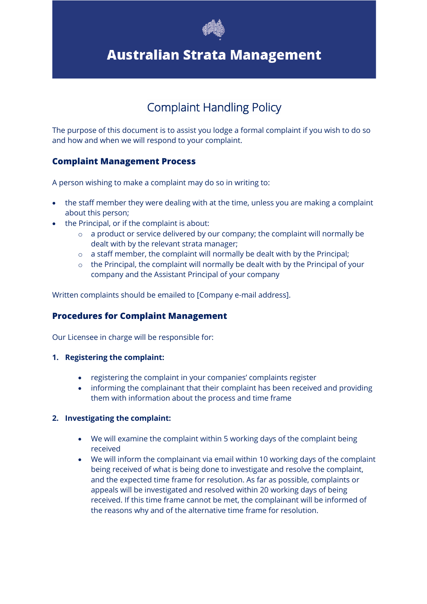

# **Australian Strata Management**

## Complaint Handling Policy

The purpose of this document is to assist you lodge a formal complaint if you wish to do so and how and when we will respond to your complaint.

### **Complaint Management Process**

A person wishing to make a complaint may do so in writing to:

- the staff member they were dealing with at the time, unless you are making a complaint about this person;
- the Principal, or if the complaint is about:
	- o a product or service delivered by our company; the complaint will normally be dealt with by the relevant strata manager;
	- o a staff member, the complaint will normally be dealt with by the Principal;
	- o the Principal, the complaint will normally be dealt with by the Principal of your company and the Assistant Principal of your company

Written complaints should be emailed to [Company e-mail address].

### **Procedures for Complaint Management**

Our Licensee in charge will be responsible for:

#### **1. Registering the complaint:**

- registering the complaint in your companies' complaints register
- informing the complainant that their complaint has been received and providing them with information about the process and time frame

#### **2. Investigating the complaint:**

- We will examine the complaint within 5 working days of the complaint being received
- We will inform the complainant via email within 10 working days of the complaint being received of what is being done to investigate and resolve the complaint, and the expected time frame for resolution. As far as possible, complaints or appeals will be investigated and resolved within 20 working days of being received. If this time frame cannot be met, the complainant will be informed of the reasons why and of the alternative time frame for resolution.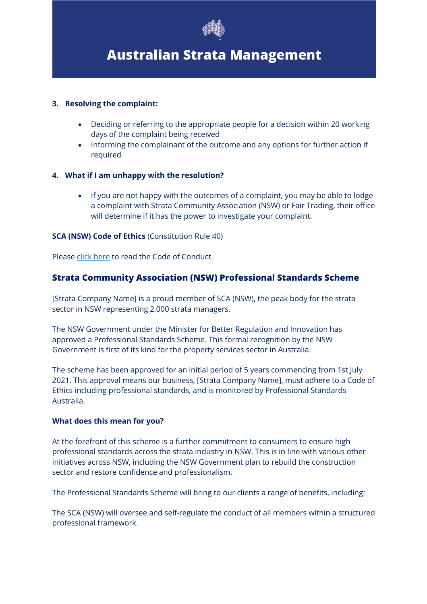

## **Australian Strata Management**

#### **3. Resolving the complaint:**

- Deciding or referring to the appropriate people for a decision within 20 working days of the complaint being received
- Informing the complainant of the outcome and any options for further action if required

#### **4. What if I am unhappy with the resolution?**

• If you are not happy with the outcomes of a complaint, you may be able to lodge a complaint with Strata Community Association (NSW) or Fair Trading, their office will determine if it has the power to investigate your complaint.

#### **SCA (NSW) Code of Ethics** (Constitution Rule 40)

Please click here to read the Code of Conduct.

### **Strata Community Association (NSW) Professional Standards Scheme**

[Strata Company Name] is a proud member of SCA (NSW), the peak body for the strata sector in NSW representing 2,000 strata managers.

The NSW Government under the Minister for Better Regulation and Innovation has approved a Professional Standards Scheme. This formal recognition by the NSW Government is first of its kind for the property services sector in Australia.

The scheme has been approved for an initial period of 5 years commencing from 1st July 2021. This approval means our business, [Strata Company Name], must adhere to a Code of Ethics including professional standards, and is monitored by Professional Standards Australia.

#### **What does this mean for you?**

At the forefront of this scheme is a further commitment to consumers to ensure high professional standards across the strata industry in NSW. This is in line with various other initiatives across NSW, including the NSW Government plan to rebuild the construction sector and restore confidence and professionalism.

The Professional Standards Scheme will bring to our clients a range of benefits, including:

The SCA (NSW) will oversee and self-regulate the conduct of all members within a structured professional framework.